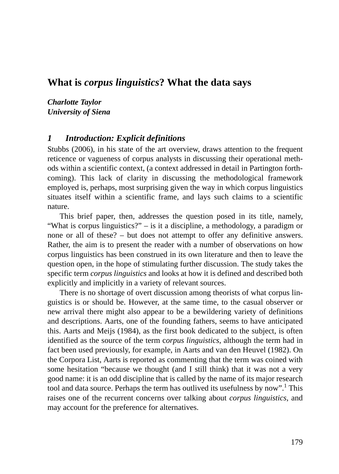# **What is** *corpus linguistics***? What the data says**

*Charlotte Taylor University of Siena*

#### *1 Introduction: Explicit definitions*

Stubbs (2006), in his state of the art overview, draws attention to the frequent reticence or vagueness of corpus analysts in discussing their operational methods within a scientific context, (a context addressed in detail in Partington forthcoming). This lack of clarity in discussing the methodological framework employed is, perhaps, most surprising given the way in which corpus linguistics situates itself within a scientific frame, and lays such claims to a scientific nature.

This brief paper, then, addresses the question posed in its title, namely, "What is corpus linguistics?" – is it a discipline, a methodology, a paradigm or none or all of these? – but does not attempt to offer any definitive answers. Rather, the aim is to present the reader with a number of observations on how corpus linguistics has been construed in its own literature and then to leave the question open, in the hope of stimulating further discussion. The study takes the specific term *corpus linguistics* and looks at how it is defined and described both explicitly and implicitly in a variety of relevant sources.

There is no shortage of overt discussion among theorists of what corpus linguistics is or should be. However, at the same time, to the casual observer or new arrival there might also appear to be a bewildering variety of definitions and descriptions. Aarts, one of the founding fathers, seems to have anticipated this. Aarts and Meijs (1984), as the first book dedicated to the subject, is often identified as the source of the term c*orpus linguistics*, although the term had in fact been used previously, for example, in Aarts and van den Heuvel (1982). On the Corpora List, Aarts is reported as commenting that the term was coined with some hesitation "because we thought (and I still think) that it was not a very good name: it is an odd discipline that is called by the name of its major research tool and data source. Perhaps the term has outlived its usefulness by now".<sup>1</sup> This raises one of the recurrent concerns over talking about *corpus linguistics*, and may account for the preference for alternatives.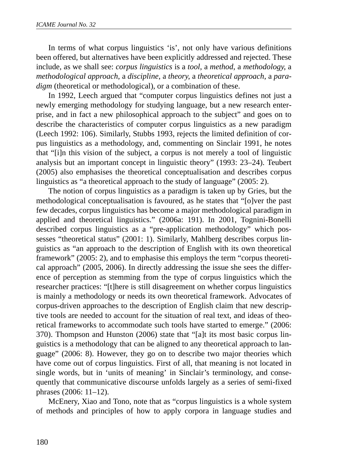In terms of what corpus linguistics 'is', not only have various definitions been offered, but alternatives have been explicitly addressed and rejected. These include, as we shall see: *corpus linguistics* is a *tool*, a *method*, a *methodology*, a *methodological approach*, a *discipline*, a *theory*, a *theoretical approach*, a *paradigm* (theoretical or methodological), or a combination of these.

In 1992, Leech argued that "computer corpus linguistics defines not just a newly emerging methodology for studying language, but a new research enterprise, and in fact a new philosophical approach to the subject" and goes on to describe the characteristics of computer corpus linguistics as a new paradigm (Leech 1992: 106). Similarly, Stubbs 1993, rejects the limited definition of corpus linguistics as a methodology, and, commenting on Sinclair 1991, he notes that "[i]n this vision of the subject, a corpus is not merely a tool of linguistic analysis but an important concept in linguistic theory" (1993: 23–24). Teubert (2005) also emphasises the theoretical conceptualisation and describes corpus linguistics as "a theoretical approach to the study of language" (2005: 2).

The notion of corpus linguistics as a paradigm is taken up by Gries, but the methodological conceptualisation is favoured, as he states that "[o]ver the past few decades, corpus linguistics has become a major methodological paradigm in applied and theoretical linguistics." (2006a: 191). In 2001, Tognini-Bonelli described corpus linguistics as a "pre-application methodology" which possesses "theoretical status" (2001: 1). Similarly, Mahlberg describes corpus linguistics as "an approach to the description of English with its own theoretical framework" (2005: 2), and to emphasise this employs the term "corpus theoretical approach" (2005, 2006). In directly addressing the issue she sees the difference of perception as stemming from the type of corpus linguistics which the researcher practices: "[t]here is still disagreement on whether corpus linguistics is mainly a methodology or needs its own theoretical framework. Advocates of corpus-driven approaches to the description of English claim that new descriptive tools are needed to account for the situation of real text, and ideas of theoretical frameworks to accommodate such tools have started to emerge." (2006: 370). Thompson and Hunston (2006) state that "[a]t its most basic corpus linguistics is a methodology that can be aligned to any theoretical approach to language" (2006: 8). However, they go on to describe two major theories which have come out of corpus linguistics. First of all, that meaning is not located in single words, but in 'units of meaning' in Sinclair's terminology, and consequently that communicative discourse unfolds largely as a series of semi-fixed phrases (2006: 11–12).

McEnery, Xiao and Tono, note that as "corpus linguistics is a whole system of methods and principles of how to apply corpora in language studies and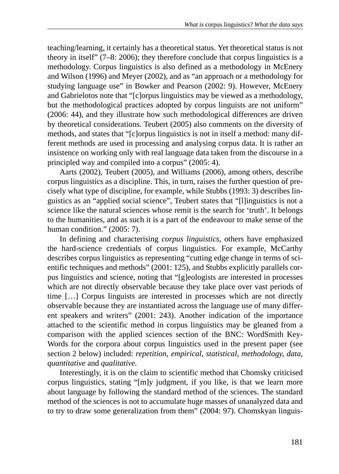teaching/learning, it certainly has a theoretical status. Yet theoretical status is not theory in itself" (7–8: 2006); they therefore conclude that corpus linguistics is a methodology. Corpus linguistics is also defined as a methodology in McEnery and Wilson (1996) and Meyer (2002), and as "an approach or a methodology for studying language use" in Bowker and Pearson (2002: 9). However, McEnery and Gabrielotos note that "[c]orpus linguistics may be viewed as a methodology, but the methodological practices adopted by corpus linguists are not uniform" (2006: 44), and they illustrate how such methodological differences are driven by theoretical considerations. Teubert (2005) also comments on the diversity of methods, and states that "[c]orpus linguistics is not in itself a method: many different methods are used in processing and analysing corpus data. It is rather an insistence on working only with real language data taken from the discourse in a principled way and compiled into a corpus" (2005: 4).

Aarts (2002), Teubert (2005), and Williams (2006), among others, describe corpus linguistics as a discipline. This, in turn, raises the further question of precisely what type of discipline, for example, while Stubbs (1993: 3) describes linguistics as an "applied social science", Teubert states that "[l]inguistics is not a science like the natural sciences whose remit is the search for 'truth'. It belongs to the humanities, and as such it is a part of the endeavour to make sense of the human condition." (2005: 7).

In defining and characterising *corpus linguistics*, others have emphasized the hard-science credentials of corpus linguistics. For example, McCarthy describes corpus linguistics as representing "cutting edge change in terms of scientific techniques and methods" (2001: 125), and Stubbs explicitly parallels corpus linguistics and science, noting that "[g]eologists are interested in processes which are not directly observable because they take place over vast periods of time […] Corpus linguists are interested in processes which are not directly observable because they are instantiated across the language use of many different speakers and writers" (2001: 243). Another indication of the importance attached to the scientific method in corpus linguistics may be gleaned from a comparison with the applied sciences section of the BNC: WordSmith Key-Words for the corpora about corpus linguistics used in the present paper (see section 2 below) included: *repetition, empirical, statistical, methodology, data, quantitative* and *qualitative.*

Interestingly, it is on the claim to scientific method that Chomsky criticised corpus linguistics, stating "[m]y judgment, if you like, is that we learn more about language by following the standard method of the sciences. The standard method of the sciences is not to accumulate huge masses of unanalyzed data and to try to draw some generalization from them" (2004: 97). Chomskyan linguis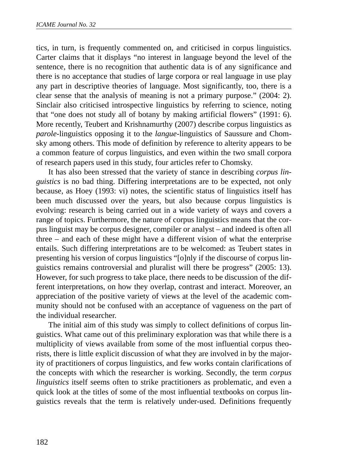tics, in turn, is frequently commented on, and criticised in corpus linguistics. Carter claims that it displays "no interest in language beyond the level of the sentence, there is no recognition that authentic data is of any significance and there is no acceptance that studies of large corpora or real language in use play any part in descriptive theories of language. Most significantly, too, there is a clear sense that the analysis of meaning is not a primary purpose." (2004: 2). Sinclair also criticised introspective linguistics by referring to science, noting that "one does not study all of botany by making artificial flowers" (1991: 6). More recently, Teubert and Krishnamurthy (2007) describe corpus linguistics as *parole*-linguistics opposing it to the *langue*-linguistics of Saussure and Chomsky among others. This mode of definition by reference to alterity appears to be a common feature of corpus linguistics, and even within the two small corpora of research papers used in this study, four articles refer to Chomsky.

It has also been stressed that the variety of stance in describing *corpus linguistics* is no bad thing. Differing interpretations are to be expected, not only because, as Hoey (1993: vi) notes, the scientific status of linguistics itself has been much discussed over the years, but also because corpus linguistics is evolving: research is being carried out in a wide variety of ways and covers a range of topics. Furthermore, the nature of corpus linguistics means that the corpus linguist may be corpus designer, compiler or analyst – and indeed is often all three – and each of these might have a different vision of what the enterprise entails. Such differing interpretations are to be welcomed: as Teubert states in presenting his version of corpus linguistics "[o]nly if the discourse of corpus linguistics remains controversial and pluralist will there be progress" (2005: 13). However, for such progress to take place, there needs to be discussion of the different interpretations, on how they overlap, contrast and interact. Moreover, an appreciation of the positive variety of views at the level of the academic community should not be confused with an acceptance of vagueness on the part of the individual researcher.

The initial aim of this study was simply to collect definitions of corpus linguistics. What came out of this preliminary exploration was that while there is a multiplicity of views available from some of the most influential corpus theorists, there is little explicit discussion of what they are involved in by the majority of practitioners of corpus linguistics, and few works contain clarifications of the concepts with which the researcher is working. Secondly, the term *corpus linguistics* itself seems often to strike practitioners as problematic, and even a quick look at the titles of some of the most influential textbooks on corpus linguistics reveals that the term is relatively under-used. Definitions frequently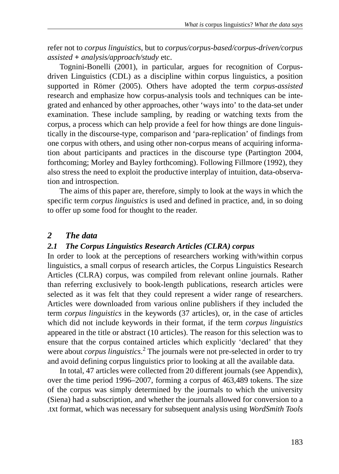refer not to *corpus linguistics*, but to *corpus/corpus-based/corpus-driven/corpus assisted* **+** *analysis/approach/study* etc.

Tognini-Bonelli (2001), in particular, argues for recognition of Corpusdriven Linguistics (CDL) as a discipline within corpus linguistics, a position supported in Römer (2005). Others have adopted the term *corpus-assisted* research and emphasize how corpus-analysis tools and techniques can be integrated and enhanced by other approaches, other 'ways into' to the data-set under examination. These include sampling, by reading or watching texts from the corpus, a process which can help provide a feel for how things are done linguistically in the discourse-type, comparison and 'para-replication' of findings from one corpus with others, and using other non-corpus means of acquiring information about participants and practices in the discourse type (Partington 2004, forthcoming; Morley and Bayley forthcoming). Following Fillmore (1992), they also stress the need to exploit the productive interplay of intuition, data-observation and introspection.

The aims of this paper are, therefore, simply to look at the ways in which the specific term *corpus linguistics* is used and defined in practice, and, in so doing to offer up some food for thought to the reader.

### *2 The data*

#### *2.1 The Corpus Linguistics Research Articles (CLRA) corpus*

In order to look at the perceptions of researchers working with/within corpus linguistics, a small corpus of research articles, the Corpus Linguistics Research Articles (CLRA) corpus, was compiled from relevant online journals. Rather than referring exclusively to book-length publications, research articles were selected as it was felt that they could represent a wider range of researchers. Articles were downloaded from various online publishers if they included the term *corpus linguistics* in the keywords (37 articles), or, in the case of articles which did not include keywords in their format, if the term *corpus linguistics* appeared in the title or abstract (10 articles). The reason for this selection was to ensure that the corpus contained articles which explicitly 'declared' that they were about *corpus linguistics*.<sup>2</sup> The journals were not pre-selected in order to try and avoid defining corpus linguistics prior to looking at all the available data.

In total, 47 articles were collected from 20 different journals (see Appendix), over the time period 1996–2007, forming a corpus of 463,489 tokens. The size of the corpus was simply determined by the journals to which the university (Siena) had a subscription, and whether the journals allowed for conversion to a .txt format, which was necessary for subsequent analysis using *WordSmith Tools*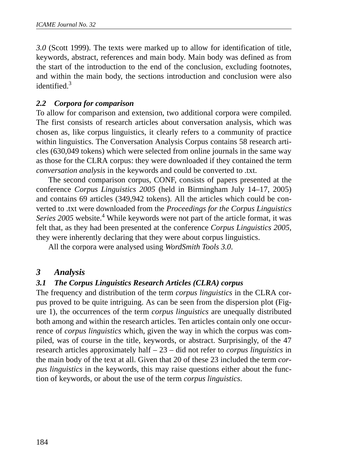*3.0* (Scott 1999). The texts were marked up to allow for identification of title, keywords, abstract, references and main body. Main body was defined as from the start of the introduction to the end of the conclusion, excluding footnotes, and within the main body, the sections introduction and conclusion were also identified  $^3$ 

# *2.2 Corpora for comparison*

To allow for comparison and extension, two additional corpora were compiled. The first consists of research articles about conversation analysis, which was chosen as, like corpus linguistics, it clearly refers to a community of practice within linguistics. The Conversation Analysis Corpus contains 58 research articles (630,049 tokens) which were selected from online journals in the same way as those for the CLRA corpus: they were downloaded if they contained the term *conversation analysis* in the keywords and could be converted to .txt.

The second comparison corpus, CONF, consists of papers presented at the conference *Corpus Linguistics 2005* (held in Birmingham July 14–17, 2005) and contains 69 articles (349,942 tokens). All the articles which could be converted to .txt were downloaded from the *Proceedings for the Corpus Linguistics* Series 2005 website.<sup>4</sup> While keywords were not part of the article format, it was felt that, as they had been presented at the conference *Corpus Linguistics 2005*, they were inherently declaring that they were about corpus linguistics.

All the corpora were analysed using *WordSmith Tools 3.0*.

# *3 Analysis*

# *3.1 The Corpus Linguistics Research Articles (CLRA) corpus*

The frequency and distribution of the term *corpus linguistics* in the CLRA corpus proved to be quite intriguing. As can be seen from the dispersion plot (Figure 1), the occurrences of the term *corpus linguistics* are unequally distributed both among and within the research articles. Ten articles contain only one occurrence of *corpus linguistics* which, given the way in which the corpus was compiled, was of course in the title, keywords, or abstract. Surprisingly, of the 47 research articles approximately half – 23 – did not refer to *corpus linguistics* in the main body of the text at all. Given that 20 of these 23 included the term *corpus linguistics* in the keywords, this may raise questions either about the function of keywords, or about the use of the term *corpus linguistics*.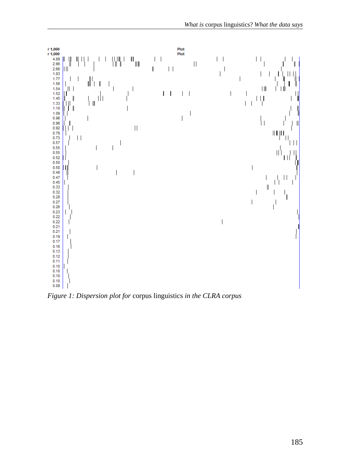

*Figure 1: Dispersion plot for* corpus linguistics *in the CLRA corpus*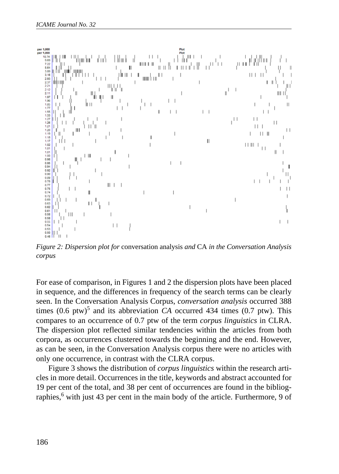

*Figure 2: Dispersion plot for* conversation analysis *and* CA *in the Conversation Analysis corpus* 

For ease of comparison, in Figures 1 and 2 the dispersion plots have been placed in sequence, and the differences in frequency of the search terms can be clearly seen. In the Conversation Analysis Corpus, *conversation analysis* occurred 388 times  $(0.6 \text{ ptw})^5$  and its abbreviation *CA* occurred 434 times  $(0.7 \text{ ptw})$ . This compares to an occurrence of 0.7 ptw of the term *corpus linguistics* in CLRA. The dispersion plot reflected similar tendencies within the articles from both corpora, as occurrences clustered towards the beginning and the end. However, as can be seen, in the Conversation Analysis corpus there were no articles with only one occurrence, in contrast with the CLRA corpus.

Figure 3 shows the distribution of *corpus linguistics* within the research articles in more detail. Occurrences in the title, keywords and abstract accounted for 19 per cent of the total, and 38 per cent of occurrences are found in the bibliographies,<sup>6</sup> with just 43 per cent in the main body of the article. Furthermore, 9 of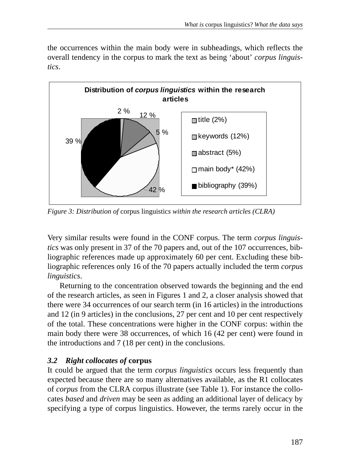the occurrences within the main body were in subheadings, which reflects the overall tendency in the corpus to mark the text as being 'about' *corpus linguistics*.



*Figure 3: Distribution of* corpus linguistic*s within the research articles (CLRA)*

Very similar results were found in the CONF corpus. The term *corpus linguistics* was only present in 37 of the 70 papers and, out of the 107 occurrences, bibliographic references made up approximately 60 per cent. Excluding these bibliographic references only 16 of the 70 papers actually included the term *corpus linguistics*.

Returning to the concentration observed towards the beginning and the end of the research articles, as seen in Figures 1 and 2, a closer analysis showed that there were 34 occurrences of our search term (in 16 articles) in the introductions and 12 (in 9 articles) in the conclusions, 27 per cent and 10 per cent respectively of the total. These concentrations were higher in the CONF corpus: within the main body there were 38 occurrences, of which 16 (42 per cent) were found in the introductions and 7 (18 per cent) in the conclusions.

# *3.2 Right collocates of* **corpus**

It could be argued that the term *corpus linguistics* occurs less frequently than expected because there are so many alternatives available, as the R1 collocates of *corpus* from the CLRA corpus illustrate (see Table 1). For instance the collocates *based* and *driven* may be seen as adding an additional layer of delicacy by specifying a type of corpus linguistics. However, the terms rarely occur in the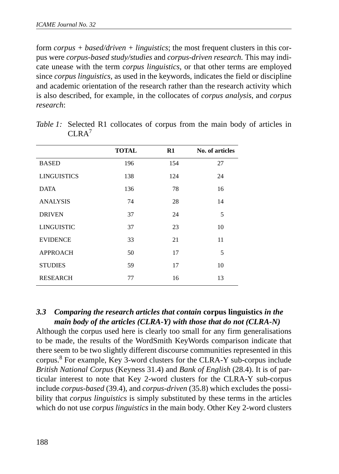form *corpus + based/driven + linguistics*; the most frequent clusters in this corpus were *corpus-based study/studies* and *corpus-driven research.* This may indicate unease with the term *corpus linguistics*, or that other terms are employed since *corpus linguistics,* as used in the keywords, indicates the field or discipline and academic orientation of the research rather than the research activity which is also described, for example, in the collocates of *corpus analysis*, and *corpus research*:

| <b>TOTAL</b> | R1  | No. of articles |
|--------------|-----|-----------------|
| 196          | 154 | 27              |
| 138          | 124 | 24              |
| 136          | 78  | 16              |
| 74           | 28  | 14              |
| 37           | 24  | 5               |
| 37           | 23  | 10              |
| 33           | 21  | 11              |
| 50           | 17  | 5               |
| 59           | 17  | 10              |
| 77           | 16  | 13              |
|              |     |                 |

*Table 1:* Selected R1 collocates of corpus from the main body of articles in  $CIRA<sup>7</sup>$ 

### *3.3 Comparing the research articles that contain* **corpus linguistics** *in the main body of the articles (CLRA-Y) with those that do not (CLRA-N)*

Although the corpus used here is clearly too small for any firm generalisations to be made, the results of the WordSmith KeyWords comparison indicate that there seem to be two slightly different discourse communities represented in this corpus.<sup>8</sup> For example, Key 3-word clusters for the CLRA-Y sub-corpus include *British National Corpus* (Keyness 31.4) and *Bank of English* (28.4). It is of particular interest to note that Key 2-word clusters for the CLRA-Y sub-corpus include *corpus-based* (39.4), and *corpus-driven* (35.8) which excludes the possibility that *corpus linguistics* is simply substituted by these terms in the articles which do not use *corpus linguistics* in the main body. Other Key 2-word clusters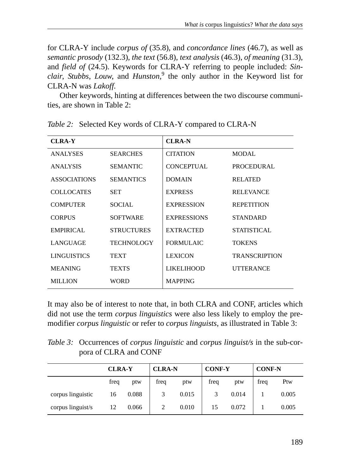for CLRA-Y include *corpus of* (35.8), and *concordance lines* (46.7), as well as *semantic prosody* (132.3), *the text* (56.8), *text analysis* (46.3), *of meaning* (31.3), and *field of* (24.5). Keywords for CLRA-Y referring to people included: *Sinclair*, *Stubbs*, *Louw*, and *Hunston,*<sup>9</sup> the only author in the Keyword list for CLRA-N was *Lakoff*.

Other keywords, hinting at differences between the two discourse communities, are shown in Table 2:

| <b>CLRA-Y</b>       |                   | <b>CLRA-N</b>      |                      |
|---------------------|-------------------|--------------------|----------------------|
| <b>ANALYSES</b>     | <b>SEARCHES</b>   | <b>CITATION</b>    | MODAL                |
| <b>ANALYSIS</b>     | <b>SEMANTIC</b>   | <b>CONCEPTUAL</b>  | PROCEDURAL           |
| <b>ASSOCIATIONS</b> | <b>SEMANTICS</b>  | <b>DOMAIN</b>      | <b>RELATED</b>       |
| <b>COLLOCATES</b>   | <b>SET</b>        | <b>EXPRESS</b>     | <b>RELEVANCE</b>     |
| <b>COMPUTER</b>     | <b>SOCIAL</b>     | <b>EXPRESSION</b>  | <b>REPETITION</b>    |
| <b>CORPUS</b>       | <b>SOFTWARE</b>   | <b>EXPRESSIONS</b> | <b>STANDARD</b>      |
| EMPIRICAL           | <b>STRUCTURES</b> | <b>EXTRACTED</b>   | STATISTICAL          |
| <b>LANGUAGE</b>     | <b>TECHNOLOGY</b> | <b>FORMULAIC</b>   | <b>TOKENS</b>        |
| <b>LINGUISTICS</b>  | <b>TEXT</b>       | <b>LEXICON</b>     | <b>TRANSCRIPTION</b> |
| <b>MEANING</b>      | TEXTS             | <b>LIKELIHOOD</b>  | <b>UTTERANCE</b>     |
| <b>MILLION</b>      | <b>WORD</b>       | <b>MAPPING</b>     |                      |

*Table 2:* Selected Key words of CLRA-Y compared to CLRA-N

It may also be of interest to note that, in both CLRA and CONF, articles which did not use the term *corpus linguistics* were also less likely to employ the premodifier *corpus linguistic* or refer to *corpus linguists*, as illustrated in Table 3:

*Table 3:* Occurrences of *corpus linguistic* and *corpus linguist/s* in the sub-corpora of CLRA and CONF

|                   | <b>CLRA-Y</b> |       | <b>CLRA-N</b> |       | <b>CONF-Y</b> |       | <b>CONF-N</b> |       |
|-------------------|---------------|-------|---------------|-------|---------------|-------|---------------|-------|
|                   | freq          | ptw   | freq          | ptw   | freq          | ptw   | frea          | Ptw   |
| corpus linguistic | 16            | 0.088 | 3             | 0.015 |               | 0.014 |               | 0.005 |
| corpus linguist/s | 12            | 0.066 |               | 0.010 | 15            | 0.072 |               | 0.005 |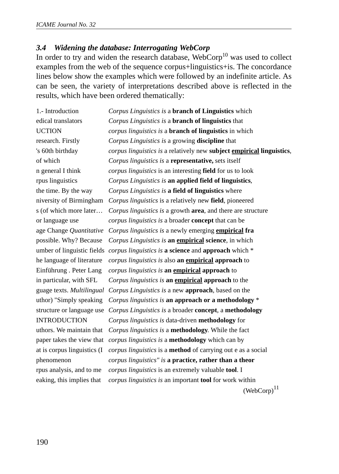### *3.4 Widening the database: Interrogating WebCorp*

In order to try and widen the research database,  $WebCorp<sup>10</sup>$  was used to collect examples from the web of the sequence corpus+linguistics+is. The concordance lines below show the examples which were followed by an indefinite article. As can be seen, the variety of interpretations described above is reflected in the results, which have been ordered thematically:

1.- Introduction *Corpus Linguistics is* a **branch of Linguistics** which edical translators *Corpus Linguistics is* a **branch of linguistics** that UCTION *corpus linguistics is* a **branch of linguistics** in which research. Firstly *Corpus Linguistics is* a growing **discipline** that 's 60th birthday *corpus linguistics is* a relatively new **subject empirical linguistics**, of which *Corpus linguistics is* a **representative,** sets itself n general I think *corpus linguistics* is an interesting **field** for us to look rpus linguistics *Corpus Linguistics is* **an applied field of linguistics**, the time. By the way *Corpus Linguistics is* **a field of linguistics** where niversity of Birmingham *Corpus linguistics* is a relatively new **field**, pioneered s (of which more later… *Corpus linguistics is* a growth **area**, and there are structure or language use *corpus linguistics is* a broader **concept** that can be age Change *Quantitative Corpus linguistics is* a newly emerging **empirical fra** possible. Why? Because *Corpus Linguistics is* **an empirical science**, in which umber of linguistic fields *corpus linguistics is* **a science** and **approach** which \* he language of literature *corpus linguistics is* also **an empirical approach** to Einführung . Peter Lang *corpus linguistics is* **an empirical approach** to in particular, with SFL *Corpus linguistics is* **an empirical approach** to the guage texts. *Multilingual Corpus Linguistics is* a new **approach**, based on the uthor) "Simply speaking *Corpus linguistics is* **an approach or a methodology** \* structure or language use *Corpus Linguistics is* a broader **concept**, a **methodology** INTRODUCTION *Corpus linguistics is* data-driven **methodology** for uthors. We maintain that *Corpus linguistics is* a **methodology**. While the fact paper takes the view that *corpus linguistics is* a **methodology** which can by at is corpus linguistics (I *corpus linguistics* is a **method** of carrying out e as a social phenomenon *corpus linguistics" is* **a practice, rather than a theor** rpus analysis, and to me *corpus linguistics* is an extremely valuable **tool**. I eaking, this implies that *corpus linguistics is* an important **tool** for work within  $(WebCorp)<sup>11</sup>$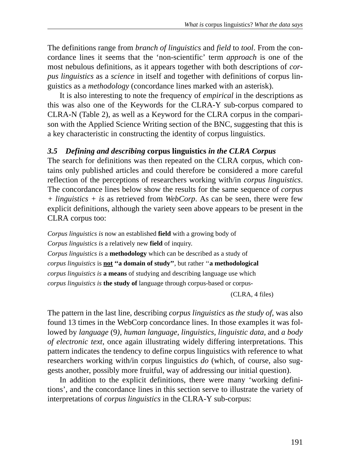The definitions range from *branch of linguistics* and *field* to *tool*. From the concordance lines it seems that the 'non-scientific' term *approach* is one of the most nebulous definitions, as it appears together with both descriptions of *corpus linguistics* as a *science* in itself and together with definitions of corpus linguistics as a *methodology* (concordance lines marked with an asterisk).

It is also interesting to note the frequency of *empirical* in the descriptions as this was also one of the Keywords for the CLRA-Y sub-corpus compared to CLRA-N (Table 2), as well as a Keyword for the CLRA corpus in the comparison with the Applied Science Writing section of the BNC, suggesting that this is a key characteristic in constructing the identity of corpus linguistics.

# *3.5 Defining and describing* **corpus linguistics** *in the CLRA Corpus*

The search for definitions was then repeated on the CLRA corpus, which contains only published articles and could therefore be considered a more careful reflection of the perceptions of researchers working with/in *corpus linguistics*. The concordance lines below show the results for the same sequence of *corpus + linguistics + is* as retrieved from *WebCorp*. As can be seen, there were few explicit definitions, although the variety seen above appears to be present in the CLRA corpus too:

*Corpus linguistics is* now an established **field** with a growing body of *Corpus linguistics is* a relatively new **field** of inquiry. *Corpus linguistics is* a **methodology** which can be described as a study of *corpus linguistics* is **not ''a domain of study''**, but rather ''**a methodological**  *corpus linguistics is* **a means** of studying and describing language use which *corpus linguistics is* **the study of** language through corpus-based or corpus-

(CLRA, 4 files)

The pattern in the last line, describing *corpus linguistics* as *the study of*, was also found 13 times in the WebCorp concordance lines. In those examples it was followed by *language* (9*), human language, linguistics, linguistic data,* and *a body of electronic text*, once again illustrating widely differing interpretations. This pattern indicates the tendency to define corpus linguistics with reference to what researchers working with/in corpus linguistics *do* (which, of course, also suggests another, possibly more fruitful, way of addressing our initial question).

In addition to the explicit definitions, there were many 'working definitions', and the concordance lines in this section serve to illustrate the variety of interpretations of *corpus linguistics* in the CLRA-Y sub-corpus: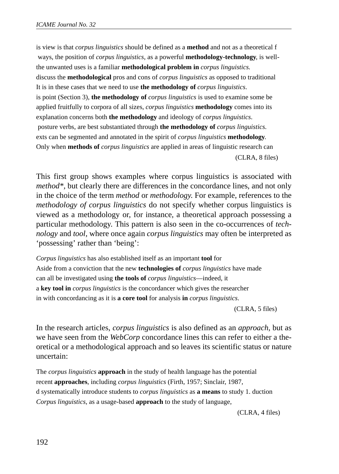is view is that *corpus linguistics* should be defined as a **method** and not as a theoretical f ways, the position of *corpus linguistics*, as a powerful **methodology-technology**, is wellthe unwanted uses is a familiar **methodological problem in** *corpus linguistics.* discuss the **methodological** pros and cons of *corpus linguistics* as opposed to traditional It is in these cases that we need to use **the methodology of** *corpus linguistics*. is point (Section 3), **the methodology of** *corpus linguistics* is used to examine some be applied fruitfully to corpora of all sizes, *corpus linguistics* **methodology** comes into its explanation concerns both **the methodology** and ideology of *corpus linguistics*. posture verbs, are best substantiated through **the methodology of** *corpus linguistics*. exts can be segmented and annotated in the spirit of *corpus linguistics* **methodology**. Only when **methods of** *corpus linguistics* are applied in areas of linguistic research can (CLRA, 8 files)

This first group shows examples where corpus linguistics is associated with *method\*,* but clearly there are differences in the concordance lines, and not only in the choice of the term *method* or *methodology*. For example, references to the *methodology of corpus linguistics* do not specify whether corpus linguistics is viewed as a methodology or, for instance, a theoretical approach possessing a particular methodology. This pattern is also seen in the co-occurrences of *technology* and *tool*, where once again *corpus linguistics* may often be interpreted as 'possessing' rather than 'being':

*Corpus linguistics* has also established itself as an important **tool** for Aside from a conviction that the new **technologies of** *corpus linguistics* have made can all be investigated using **the tools of** *corpus linguistics*—indeed, it a **key tool in** *corpus linguistics* is the concordancer which gives the researcher in with concordancing as it is **a core tool** for analysis **in** *corpus linguistics*.

(CLRA, 5 files)

In the research articles, *corpus linguistics* is also defined as an *approach*, but as we have seen from the *WebCorp* concordance lines this can refer to either a theoretical or a methodological approach and so leaves its scientific status or nature uncertain:

The *corpus linguistics* **approach** in the study of health language has the potential recent **approaches**, including *corpus linguistics* (Firth, 1957; Sinclair, 1987, d systematically introduce students to *corpus linguistics* as **a means** to study 1. duction *Corpus linguistics*, as a usage-based **approach** to the study of language,

(CLRA, 4 files)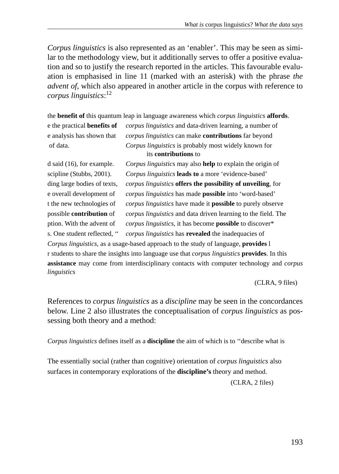*Corpus linguistics* is also represented as an 'enabler'. This may be seen as similar to the methodology view, but it additionally serves to offer a positive evaluation and so to justify the research reported in the articles. This favourable evaluation is emphasised in line 11 (marked with an asterisk) with the phrase *the advent of*, which also appeared in another article in the corpus with reference to *corpus linguistics*: 12

the **benefit of** this quantum leap in language awareness which *corpus linguistics* **affords**. e the practical **benefits of** *corpus linguistics* and data-driven learning, a number of e analysis has shown that *corpus linguistics* can make **contributions** far beyond of data. *Corpus linguistics* is probably most widely known for its **contributions** to

d said (16), for example. *Corpus linguistic*s may also **help** to explain the origin of scipline (Stubbs, 2001). *Corpus linguistics* **leads to** a more 'evidence-based' ding large bodies of texts, *corpus linguistics* **offers the possibility of unveiling**, for e overall development of *corpus linguistics* has made **possible** into 'word-based' t the new technologies of *corpus linguistics* have made it **possible** to purely observe possible **contribution** of *corpus linguistics* and data driven learning to the field. The ption. With the advent of *corpus linguistics*, it has become **possible** to discover\* s. One student reflected, '' *corpus linguistics* has **revealed** the inadequacies of

*Corpus linguistics*, as a usage-based approach to the study of language, **provides** l r students to share the insights into language use that *corpus linguistics* **provides**. In this **assistance** may come from interdisciplinary contacts with computer technology and *corpus linguistics*

(CLRA, 9 files)

References to *corpus linguistics* as a *discipline* may be seen in the concordances below. Line 2 also illustrates the conceptualisation of *corpus linguistics* as possessing both theory and a method:

*Corpus linguistics* defines itself as a **discipline** the aim of which is to ''describe what is

The essentially social (rather than cognitive) orientation of *corpus linguistics* also surfaces in contemporary explorations of the **discipline's** theory and method.

(CLRA, 2 files)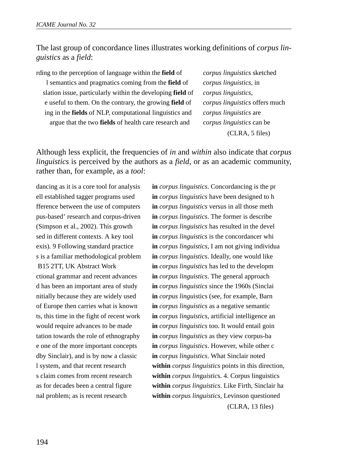## The last group of concordance lines illustrates working definitions of *corpus linguistics* as a *field*:

rding to the perception of language within the **field** of *corpus linguistics* sketched l semantics and pragmatics coming from the **field** of *corpus linguistics*, in slation issue, particularly within the developing **field** of *corpus linguistics*, e useful to them. On the contrary, the growing **field** of *corpus linguistics* offers much ing in the **fields** of NLP, computational linguistics and *corpus linguistics* are argue that the two **fields** of health care research and *corpus linguistics* can be

(CLRA, 5 files)

Although less explicit, the frequencies of *in* and *within* also indicate that *corpus linguistics* is perceived by the authors as a *field*, or as an academic community, rather than, for example, as a *tool*:

dancing as it is a core tool for analysis **in** *corpus linguistics*. Concordancing is the pr ell established tagger programs used **in** *corpus linguistics* have been designed to h fference between the use of computers **in** *corpus linguistics* versus in all those meth pus-based' research and corpus-driven **in** *corpus linguistics*. The former is describe (Simpson et al., 2002). This growth **in** *corpus linguistics* has resulted in the devel sed in different contexts. A key tool **in** *corpus linguistics* is the concordancer whi exis). 9 Following standard practice **in** *corpus linguistics*, I am not giving individua s is a familiar methodological problem **in** *corpus linguistics*. Ideally, one would like B15 2TT, UK Abstract Work **in** *corpus linguistics* has led to the developm ctional grammar and recent advances **in** *corpus linguistics*. The general approach d has been an important area of study **in** *corpus linguistics* since the 1960s (Sinclai nitially because they are widely used **in** *corpus lingu*istics (see, for example, Barn of Europe then carries what is known **in** *corpus linguistics* as a negative semantic ts, this time in the fight of recent work **in** *corpus linguistics*, artificial intelligence an would require advances to be made **in** *corpus linguistics* too. It would entail goin tation towards the role of ethnography **in** *corpus linguistics* as they view corpus-ba e one of the more important concepts **in** *corpus linguistics*. However, while other c dby Sinclair), and is by now a classic **in** *corpus linguistics*. What Sinclair noted l system, and that recent research **within** *corpus linguistics* points in this direction, s claim comes from recent research **within** *corpus lin*g*uistic*s. 4. Corpus linguistics as for decades been a central figure **within** *corpus linguistics*. Like Firth, Sinclair ha nal problem; as is recent research **within** *corpus linguistics*, Levinson questioned (CLRA, 13 files)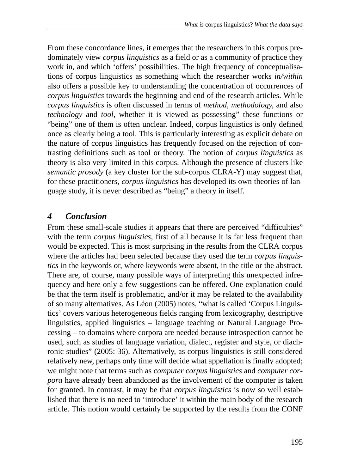From these concordance lines, it emerges that the researchers in this corpus predominately view *corpus linguistics* as a field or as a community of practice they work in, and which 'offers' possibilities. The high frequency of conceptualisations of corpus linguistics as something which the researcher works *in/within* also offers a possible key to understanding the concentration of occurrences of *corpus linguistics* towards the beginning and end of the research articles. While *corpus linguistics* is often discussed in terms of *method*, *methodology*, and also *technology* and *tool,* whether it is viewed as possessing" these functions or "being" one of them is often unclear. Indeed, corpus linguistics is only defined once as clearly being a tool. This is particularly interesting as explicit debate on the nature of corpus linguistics has frequently focused on the rejection of contrasting definitions such as tool or theory. The notion of *corpus linguistics* as theory is also very limited in this corpus. Although the presence of clusters like *semantic prosody* (a key cluster for the sub-corpus CLRA-Y) may suggest that, for these practitioners, *corpus linguistics* has developed its own theories of language study, it is never described as "being" a theory in itself.

# *4 Conclusion*

From these small-scale studies it appears that there are perceived "difficulties" with the term *corpus linguistics*, first of all because it is far less frequent than would be expected. This is most surprising in the results from the CLRA corpus where the articles had been selected because they used the term *corpus linguistics* in the keywords or, where keywords were absent, in the title or the abstract. There are, of course, many possible ways of interpreting this unexpected infrequency and here only a few suggestions can be offered. One explanation could be that the term itself is problematic, and/or it may be related to the availability of so many alternatives. As Léon (2005) notes, "what is called 'Corpus Linguistics' covers various heterogeneous fields ranging from lexicography, descriptive linguistics, applied linguistics – language teaching or Natural Language Processing – to domains where corpora are needed because introspection cannot be used, such as studies of language variation, dialect, register and style, or diachronic studies" (2005: 36). Alternatively, as corpus linguistics is still considered relatively new, perhaps only time will decide what appellation is finally adopted; we might note that terms such as *computer corpus linguistics* and *computer corpora* have already been abandoned as the involvement of the computer is taken for granted. In contrast, it may be that *corpus linguistics* is now so well established that there is no need to 'introduce' it within the main body of the research article. This notion would certainly be supported by the results from the CONF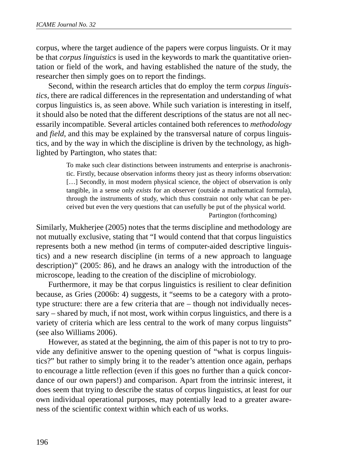corpus, where the target audience of the papers were corpus linguists. Or it may be that *corpus linguistics* is used in the keywords to mark the quantitative orientation or field of the work, and having established the nature of the study, the researcher then simply goes on to report the findings.

Second, within the research articles that do employ the term *corpus linguistics*, there are radical differences in the representation and understanding of what corpus linguistics is, as seen above. While such variation is interesting in itself, it should also be noted that the different descriptions of the status are not all necessarily incompatible. Several articles contained both references to *methodology* and *field*, and this may be explained by the transversal nature of corpus linguistics, and by the way in which the discipline is driven by the technology, as highlighted by Partington, who states that:

> To make such clear distinctions between instruments and enterprise is anachronistic. Firstly, because observation informs theory just as theory informs observation: [...] Secondly, in most modern physical science, the object of observation is only tangible, in a sense only *exists* for an observer (outside a mathematical formula), through the instruments of study, which thus constrain not only what can be perceived but even the very questions that can usefully be put of the physical world. Partington (forthcoming)

Similarly, Mukherjee (2005) notes that the terms discipline and methodology are not mutually exclusive, stating that "I would contend that that corpus linguistics represents both a new method (in terms of computer-aided descriptive linguistics) and a new research discipline (in terms of a new approach to language description)" (2005: 86), and he draws an analogy with the introduction of the microscope, leading to the creation of the discipline of microbiology.

Furthermore, it may be that corpus linguistics is resilient to clear definition because, as Gries (2006b: 4) suggests, it "seems to be a category with a prototype structure: there are a few criteria that are – though not individually necessary – shared by much, if not most, work within corpus linguistics, and there is a variety of criteria which are less central to the work of many corpus linguists" (see also Williams 2006).

However, as stated at the beginning, the aim of this paper is not to try to provide any definitive answer to the opening question of "what is corpus linguistics?" but rather to simply bring it to the reader's attention once again, perhaps to encourage a little reflection (even if this goes no further than a quick concordance of our own papers!) and comparison. Apart from the intrinsic interest, it does seem that trying to describe the status of corpus linguistics, at least for our own individual operational purposes, may potentially lead to a greater awareness of the scientific context within which each of us works.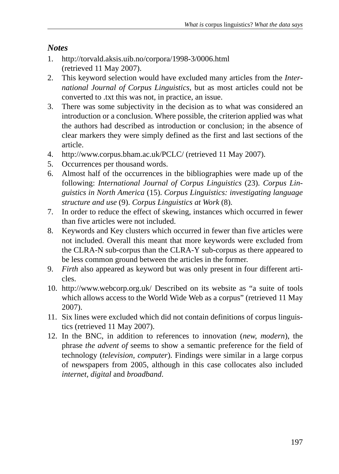# *Notes*

- 1. http://torvald.aksis.uib.no/corpora/1998-3/0006.html (retrieved 11 May 2007).
- 2. This keyword selection would have excluded many articles from the *International Journal of Corpus Linguistics*, but as most articles could not be converted to .txt this was not, in practice, an issue.
- 3. There was some subjectivity in the decision as to what was considered an introduction or a conclusion. Where possible, the criterion applied was what the authors had described as introduction or conclusion; in the absence of clear markers they were simply defined as the first and last sections of the article.
- 4. http://www.corpus.bham.ac.uk/PCLC/ (retrieved 11 May 2007).
- 5. Occurrences per thousand words.
- 6. Almost half of the occurrences in the bibliographies were made up of the following: *International Journal of Corpus Linguistics* (23). *Corpus Linguistics in North America* (15). *Corpus Linguistics: investigating language structure and use* (9). *Corpus Linguistics at Work* (8).
- 7. In order to reduce the effect of skewing, instances which occurred in fewer than five articles were not included.
- 8. Keywords and Key clusters which occurred in fewer than five articles were not included. Overall this meant that more keywords were excluded from the CLRA-N sub-corpus than the CLRA-Y sub-corpus as there appeared to be less common ground between the articles in the former.
- 9. *Firth* also appeared as keyword but was only present in four different articles.
- 10. http://www.webcorp.org.uk/ Described on its website as "a suite of tools which allows access to the World Wide Web as a corpus" (retrieved 11 May 2007).
- 11. Six lines were excluded which did not contain definitions of corpus linguistics (retrieved 11 May 2007).
- 12. In the BNC, in addition to references to innovation (*new, modern*), the phrase *the advent of* seems to show a semantic preference for the field of technology (*television, computer*). Findings were similar in a large corpus of newspapers from 2005, although in this case collocates also included *internet, digital* and *broadband*.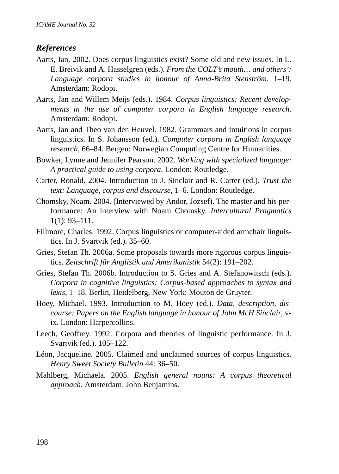# *References*

- Aarts, Jan. 2002. Does corpus linguistics exist? Some old and new issues. In L. E. Breivik and A. Hasselgren (eds.). *From the COLT's mouth… and others': Language corpora studies in honour of Anna-Brita Stenström*, 1–19. Amsterdam: Rodopi.
- Aarts, Jan and Willem Meijs (eds.). 1984. *Corpus linguistics: Recent developments in the use of computer corpora in English language research*. Amsterdam: Rodopi.
- Aarts, Jan and Theo van den Heuvel. 1982. Grammars and intuitions in corpus linguistics. In S. Johansson (ed.). *Computer corpora in English language research*, 66–84. Bergen: Norwegian Computing Centre for Humanities.
- Bowker, Lynne and Jennifer Pearson. 2002. *Working with specialized language: A practical guide to using corpora*. London: Routledge.
- Carter, Ronald. 2004. Introduction to J. Sinclair and R. Carter (ed.). *Trust the text: Language, corpus and discourse*, 1–6. London: Routledge.
- Chomsky, Noam. 2004. (Interviewed by Andor, Jozsef). The master and his performance: An interview with Noam Chomsky. *Intercultural Pragmatics* 1(1): 93–111.
- Fillmore, Charles. 1992. Corpus linguistics or computer-aided armchair linguistics. In J. Svartvik (ed.). 35–60.
- Gries, Stefan Th. 2006a. Some proposals towards more rigorous corpus linguistics. *Zeitschrift für Anglistik und Amerikanistik* 54(2): 191–202.
- Gries, Stefan Th. 2006b. Introduction to S. Gries and A. Stefanowitsch (eds.). *Corpora in cognitive linguistics: Corpus-based approaches to syntax and lexis*, 1–18. Berlin, Heidelberg, New York: Mouton de Gruyter.
- Hoey, Michael. 1993. Introduction to M. Hoey (ed.). *Data, description, discourse: Papers on the English language in honour of John McH Sinclair*, vix*.* London: Harpercollins.
- Leech, Geoffrey. 1992. Corpora and theories of linguistic performance. In J. Svartvik (ed.). 105–122.
- Léon, Jacqueline. 2005. Claimed and unclaimed sources of corpus linguistics. *Henry Sweet Society Bulletin* 44: 36–50.
- Mahlberg, Michaela. 2005. *English general nouns: A corpus theoretical approach*. Amsterdam: John Benjamins.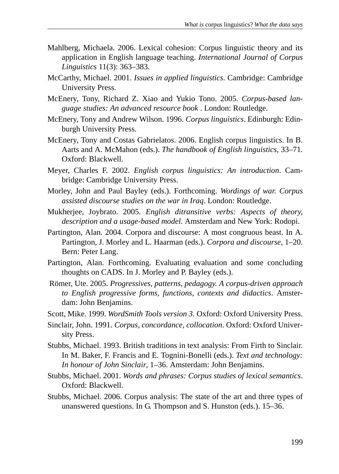- Mahlberg, Michaela. 2006. Lexical cohesion: Corpus linguistic theory and its application in English language teaching. *International Journal of Corpus Linguistics* 11(3): 363–383.
- McCarthy, Michael. 2001. *Issues in applied linguistics*. Cambridge: Cambridge University Press.
- McEnery, Tony, Richard Z. Xiao and Yukio Tono. 2005. *Corpus-based language studies: An advanced resource book* . London: Routledge.
- McEnery, Tony and Andrew Wilson. 1996. *Corpus linguistics*. Edinburgh: Edinburgh University Press.
- McEnery, Tony and Costas Gabrielatos. 2006. English corpus linguistics. In B. Aarts and A. McMahon (eds.). *The handbook of English linguistics*, 33–71*.* Oxford: Blackwell.
- Meyer, Charles F. 2002. *English corpus linguistics: An introduction*. Cambridge: Cambridge University Press.
- Morley, John and Paul Bayley (eds.). Forthcoming. *Wordings of war. Corpus assisted discourse studies on the war in Iraq*. London: Routledge.
- Mukherjee, Joybrato. 2005. *English ditransitive verbs: Aspects of theory, description and a usage-based model.* Amsterdam and New York: Rodopi.
- Partington, Alan. 2004. Corpora and discourse: A most congruous beast. In A. Partington, J. Morley and L. Haarman (eds.). *Corpora and discourse*, 1–20. Bern: Peter Lang.
- Partington, Alan. Forthcoming. Evaluating evaluation and some concluding thoughts on CADS. In J. Morley and P. Bayley (eds.).
- Römer, Ute. 2005. *Progressives, patterns, pedagogy. A corpus-driven approach to English progressive forms, functions, contexts and didactics*. Amsterdam: John Benjamins.
- Scott, Mike. 1999. *WordSmith Tools version 3.* Oxford: Oxford University Press.
- Sinclair, John. 1991. *Corpus, concordance, collocation*. Oxford: Oxford University Press.
- Stubbs, Michael. 1993. British traditions in text analysis: From Firth to Sinclair. In M. Baker, F. Francis and E. Tognini-Bonelli (eds.). *Text and technology: In honour of John Sinclair*, 1–36. Amsterdam: John Benjamins.
- Stubbs, Michael. 2001. *Words and phrases: Corpus studies of lexical semantics*. Oxford: Blackwell.
- Stubbs, Michael. 2006. Corpus analysis: The state of the art and three types of unanswered questions. In G. Thompson and S. Hunston (eds.). 15–36.